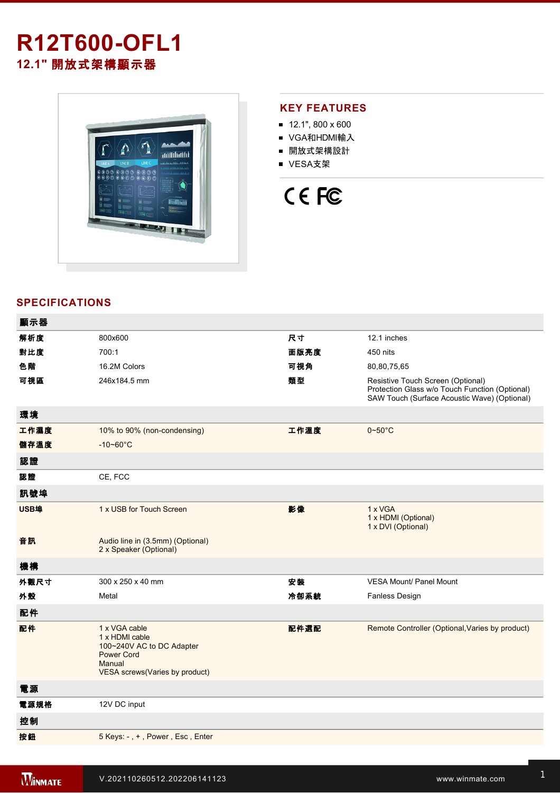# **R12T600-OFL1 12.1"** 開放式架構顯示器



## **KEY FEATURES**

- $12.1$ ", 800 x 600
- VGA和HDMI輸入
- 開放式架構設計
- VESA支架



## **SPECIFICATIONS**

| 顯示器  |                                                                                                                               |      |                                                                                                                                     |
|------|-------------------------------------------------------------------------------------------------------------------------------|------|-------------------------------------------------------------------------------------------------------------------------------------|
| 解析度  | 800x600                                                                                                                       | 尺寸   | 12.1 inches                                                                                                                         |
| 對比度  | 700:1                                                                                                                         | 面版亮度 | 450 nits                                                                                                                            |
| 色階   | 16.2M Colors                                                                                                                  | 可視角  | 80,80,75,65                                                                                                                         |
| 可視區  | 246x184.5 mm                                                                                                                  | 類型   | Resistive Touch Screen (Optional)<br>Protection Glass w/o Touch Function (Optional)<br>SAW Touch (Surface Acoustic Wave) (Optional) |
| 環境   |                                                                                                                               |      |                                                                                                                                     |
| 工作濕度 | 10% to 90% (non-condensing)                                                                                                   | 工作溫度 | $0\nightharpoonup 50^\circ C$                                                                                                       |
| 儲存溫度 | $-10 - 60^{\circ}C$                                                                                                           |      |                                                                                                                                     |
| 認證   |                                                                                                                               |      |                                                                                                                                     |
| 認證   | CE, FCC                                                                                                                       |      |                                                                                                                                     |
| 訊號埠  |                                                                                                                               |      |                                                                                                                                     |
| USB埠 | 1 x USB for Touch Screen                                                                                                      | 影像   | 1 x VGA<br>1 x HDMI (Optional)<br>1 x DVI (Optional)                                                                                |
| 音訊   | Audio line in (3.5mm) (Optional)<br>2 x Speaker (Optional)                                                                    |      |                                                                                                                                     |
| 機構   |                                                                                                                               |      |                                                                                                                                     |
| 外觀尺寸 | 300 x 250 x 40 mm                                                                                                             | 安裝   | <b>VESA Mount/ Panel Mount</b>                                                                                                      |
| 外殼   | Metal                                                                                                                         | 冷卻系統 | <b>Fanless Design</b>                                                                                                               |
| 配件   |                                                                                                                               |      |                                                                                                                                     |
| 配件   | 1 x VGA cable<br>1 x HDMI cable<br>100~240V AC to DC Adapter<br><b>Power Cord</b><br>Manual<br>VESA screws(Varies by product) | 配件選配 | Remote Controller (Optional, Varies by product)                                                                                     |
| 電源   |                                                                                                                               |      |                                                                                                                                     |
| 電源規格 | 12V DC input                                                                                                                  |      |                                                                                                                                     |
| 控制   |                                                                                                                               |      |                                                                                                                                     |
| 按鈕   | 5 Keys: -, +, Power, Esc, Enter                                                                                               |      |                                                                                                                                     |
|      |                                                                                                                               |      |                                                                                                                                     |